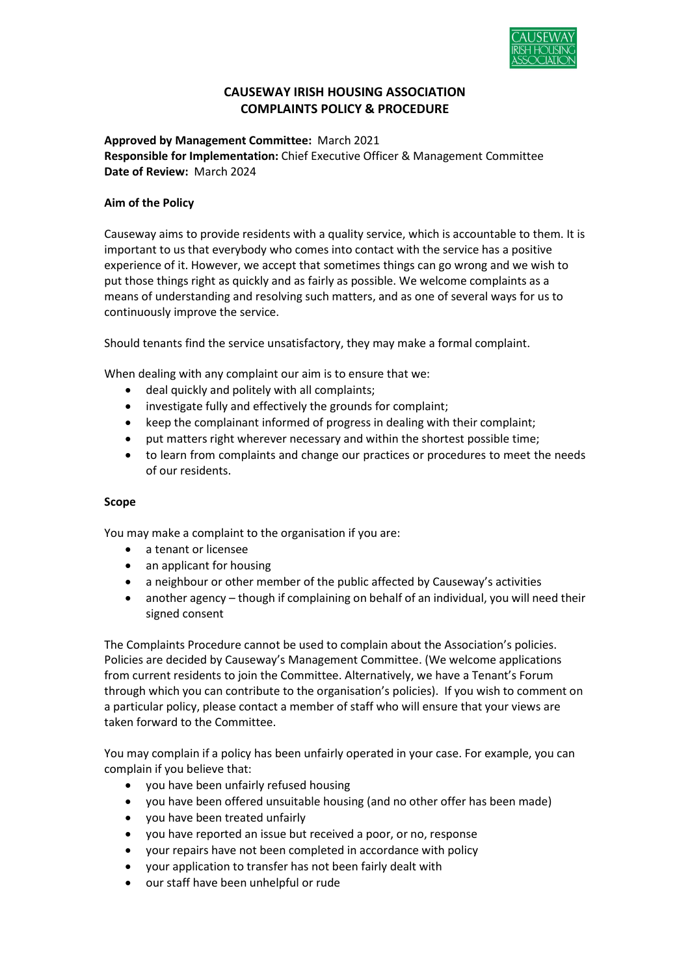

# CAUSEWAY IRISH HOUSING ASSOCIATION COMPLAINTS POLICY & PROCEDURE

Approved by Management Committee: March 2021 Responsible for Implementation: Chief Executive Officer & Management Committee Date of Review: March 2024

### Aim of the Policy

Causeway aims to provide residents with a quality service, which is accountable to them. It is important to us that everybody who comes into contact with the service has a positive experience of it. However, we accept that sometimes things can go wrong and we wish to put those things right as quickly and as fairly as possible. We welcome complaints as a means of understanding and resolving such matters, and as one of several ways for us to continuously improve the service.

Should tenants find the service unsatisfactory, they may make a formal complaint.

When dealing with any complaint our aim is to ensure that we:

- deal quickly and politely with all complaints;
- investigate fully and effectively the grounds for complaint;
- keep the complainant informed of progress in dealing with their complaint;
- put matters right wherever necessary and within the shortest possible time;
- to learn from complaints and change our practices or procedures to meet the needs of our residents.

### Scope

You may make a complaint to the organisation if you are:

- a tenant or licensee
- an applicant for housing
- a neighbour or other member of the public affected by Causeway's activities
- another agency though if complaining on behalf of an individual, you will need their signed consent

The Complaints Procedure cannot be used to complain about the Association's policies. Policies are decided by Causeway's Management Committee. (We welcome applications from current residents to join the Committee. Alternatively, we have a Tenant's Forum through which you can contribute to the organisation's policies). If you wish to comment on a particular policy, please contact a member of staff who will ensure that your views are taken forward to the Committee.

You may complain if a policy has been unfairly operated in your case. For example, you can complain if you believe that:

- you have been unfairly refused housing
- you have been offered unsuitable housing (and no other offer has been made)
- you have been treated unfairly
- you have reported an issue but received a poor, or no, response
- your repairs have not been completed in accordance with policy
- your application to transfer has not been fairly dealt with
- our staff have been unhelpful or rude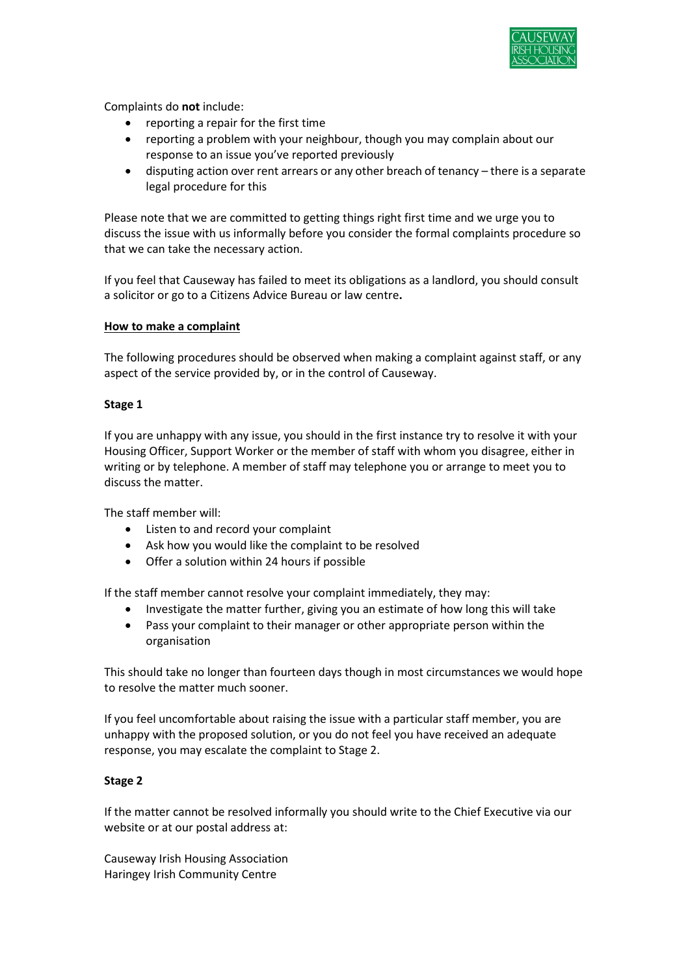

Complaints do not include:

- reporting a repair for the first time
- reporting a problem with your neighbour, though you may complain about our response to an issue you've reported previously
- disputing action over rent arrears or any other breach of tenancy there is a separate legal procedure for this

Please note that we are committed to getting things right first time and we urge you to discuss the issue with us informally before you consider the formal complaints procedure so that we can take the necessary action.

If you feel that Causeway has failed to meet its obligations as a landlord, you should consult a solicitor or go to a Citizens Advice Bureau or law centre.

### How to make a complaint

The following procedures should be observed when making a complaint against staff, or any aspect of the service provided by, or in the control of Causeway.

#### Stage 1

If you are unhappy with any issue, you should in the first instance try to resolve it with your Housing Officer, Support Worker or the member of staff with whom you disagree, either in writing or by telephone. A member of staff may telephone you or arrange to meet you to discuss the matter.

The staff member will:

- Listen to and record your complaint
- Ask how you would like the complaint to be resolved
- Offer a solution within 24 hours if possible

If the staff member cannot resolve your complaint immediately, they may:

- Investigate the matter further, giving you an estimate of how long this will take
- Pass your complaint to their manager or other appropriate person within the organisation

This should take no longer than fourteen days though in most circumstances we would hope to resolve the matter much sooner.

If you feel uncomfortable about raising the issue with a particular staff member, you are unhappy with the proposed solution, or you do not feel you have received an adequate response, you may escalate the complaint to Stage 2.

### Stage 2

If the matter cannot be resolved informally you should write to the Chief Executive via our website or at our postal address at:

Causeway Irish Housing Association Haringey Irish Community Centre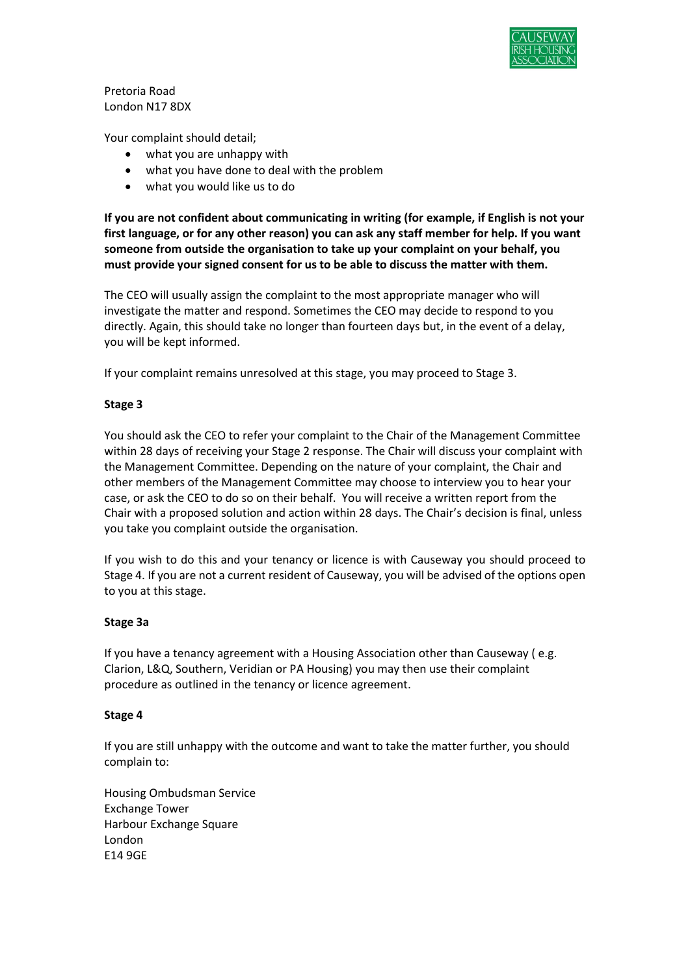

Pretoria Road London N17 8DX

Your complaint should detail;

- what you are unhappy with
- what you have done to deal with the problem
- what you would like us to do

If you are not confident about communicating in writing (for example, if English is not your first language, or for any other reason) you can ask any staff member for help. If you want someone from outside the organisation to take up your complaint on your behalf, you must provide your signed consent for us to be able to discuss the matter with them.

The CEO will usually assign the complaint to the most appropriate manager who will investigate the matter and respond. Sometimes the CEO may decide to respond to you directly. Again, this should take no longer than fourteen days but, in the event of a delay, you will be kept informed.

If your complaint remains unresolved at this stage, you may proceed to Stage 3.

### Stage 3

You should ask the CEO to refer your complaint to the Chair of the Management Committee within 28 days of receiving your Stage 2 response. The Chair will discuss your complaint with the Management Committee. Depending on the nature of your complaint, the Chair and other members of the Management Committee may choose to interview you to hear your case, or ask the CEO to do so on their behalf. You will receive a written report from the Chair with a proposed solution and action within 28 days. The Chair's decision is final, unless you take you complaint outside the organisation.

If you wish to do this and your tenancy or licence is with Causeway you should proceed to Stage 4. If you are not a current resident of Causeway, you will be advised of the options open to you at this stage.

### Stage 3a

If you have a tenancy agreement with a Housing Association other than Causeway ( e.g. Clarion, L&Q, Southern, Veridian or PA Housing) you may then use their complaint procedure as outlined in the tenancy or licence agreement.

#### Stage 4

If you are still unhappy with the outcome and want to take the matter further, you should complain to:

Housing Ombudsman Service Exchange Tower Harbour Exchange Square London E14 9GE